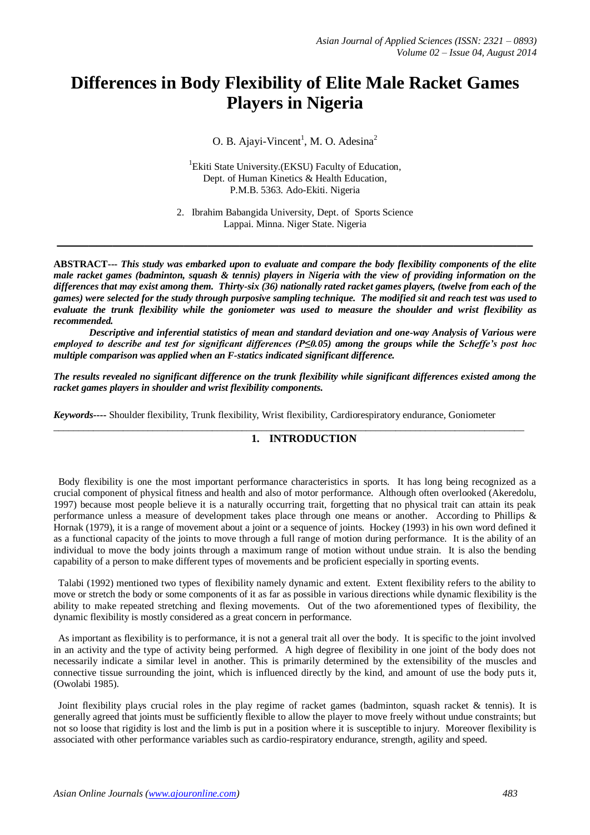# **Differences in Body Flexibility of Elite Male Racket Games Players in Nigeria**

O. B. Ajayi-Vincent<sup>1</sup>, M. O. Adesina<sup>2</sup>

<sup>1</sup>Ekiti State University.(EKSU) Faculty of Education, Dept. of Human Kinetics & Health Education, P.M.B. 5363. Ado-Ekiti. Nigeria

2. Ibrahim Babangida University, Dept. of Sports Science Lappai. Minna. Niger State. Nigeria

**\_\_\_\_\_\_\_\_\_\_\_\_\_\_\_\_\_\_\_\_\_\_\_\_\_\_\_\_\_\_\_\_\_\_\_\_\_\_\_\_\_\_\_\_\_\_\_\_\_\_\_\_\_\_\_\_\_\_\_\_**

**ABSTRACT---** *This study was embarked upon to evaluate and compare the body flexibility components of the elite male racket games (badminton, squash & tennis) players in Nigeria with the view of providing information on the differences that may exist among them. Thirty-six (36) nationally rated racket games players, (twelve from each of the games) were selected for the study through purposive sampling technique. The modified sit and reach test was used to evaluate the trunk flexibility while the goniometer was used to measure the shoulder and wrist flexibility as recommended.*

*Descriptive and inferential statistics of mean and standard deviation and one-way Analysis of Various were employed to describe and test for significant differences (P≤0.05) among the groups while the Scheffe's post hoc multiple comparison was applied when an F-statics indicated significant difference.*

*The results revealed no significant difference on the trunk flexibility while significant differences existed among the racket games players in shoulder and wrist flexibility components.*

 $\_$  ,  $\_$  ,  $\_$  ,  $\_$  ,  $\_$  ,  $\_$  ,  $\_$  ,  $\_$  ,  $\_$  ,  $\_$  ,  $\_$  ,  $\_$  ,  $\_$  ,  $\_$  ,  $\_$  ,  $\_$  ,  $\_$  ,  $\_$  ,  $\_$  ,  $\_$  ,  $\_$  ,  $\_$  ,  $\_$  ,  $\_$  ,  $\_$  ,  $\_$  ,  $\_$  ,  $\_$  ,  $\_$  ,  $\_$  ,  $\_$  ,  $\_$  ,  $\_$  ,  $\_$  ,  $\_$  ,  $\_$  ,  $\_$  ,

*Keywords***----** Shoulder flexibility, Trunk flexibility, Wrist flexibility, Cardiorespiratory endurance, Goniometer

# **1. INTRODUCTION**

 Body flexibility is one the most important performance characteristics in sports. It has long being recognized as a crucial component of physical fitness and health and also of motor performance. Although often overlooked (Akeredolu, 1997) because most people believe it is a naturally occurring trait, forgetting that no physical trait can attain its peak performance unless a measure of development takes place through one means or another. According to Phillips & Hornak (1979), it is a range of movement about a joint or a sequence of joints. Hockey (1993) in his own word defined it as a functional capacity of the joints to move through a full range of motion during performance. It is the ability of an individual to move the body joints through a maximum range of motion without undue strain. It is also the bending capability of a person to make different types of movements and be proficient especially in sporting events.

 Talabi (1992) mentioned two types of flexibility namely dynamic and extent. Extent flexibility refers to the ability to move or stretch the body or some components of it as far as possible in various directions while dynamic flexibility is the ability to make repeated stretching and flexing movements. Out of the two aforementioned types of flexibility, the dynamic flexibility is mostly considered as a great concern in performance.

 As important as flexibility is to performance, it is not a general trait all over the body. It is specific to the joint involved in an activity and the type of activity being performed. A high degree of flexibility in one joint of the body does not necessarily indicate a similar level in another. This is primarily determined by the extensibility of the muscles and connective tissue surrounding the joint, which is influenced directly by the kind, and amount of use the body puts it, (Owolabi 1985).

 Joint flexibility plays crucial roles in the play regime of racket games (badminton, squash racket & tennis). It is generally agreed that joints must be sufficiently flexible to allow the player to move freely without undue constraints; but not so loose that rigidity is lost and the limb is put in a position where it is susceptible to injury. Moreover flexibility is associated with other performance variables such as cardio-respiratory endurance, strength, agility and speed.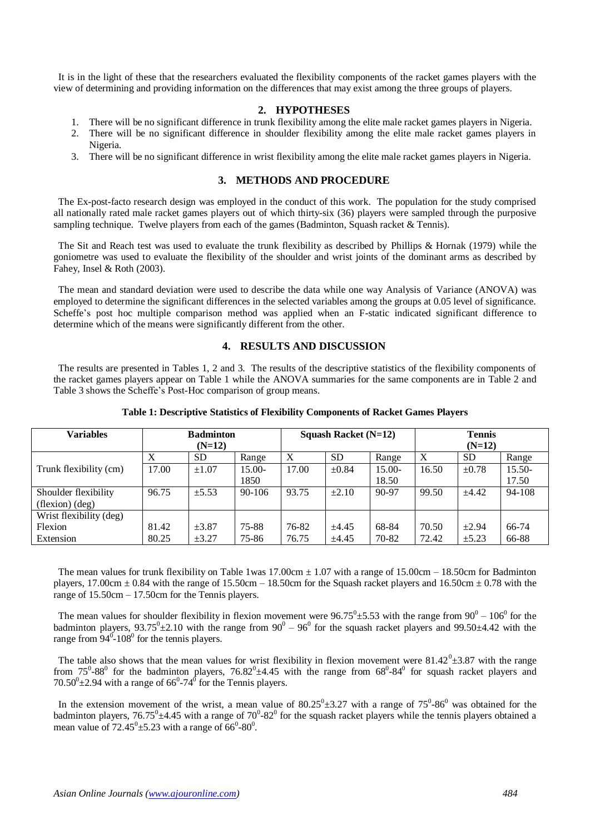It is in the light of these that the researchers evaluated the flexibility components of the racket games players with the view of determining and providing information on the differences that may exist among the three groups of players.

## **2. HYPOTHESES**

- 1. There will be no significant difference in trunk flexibility among the elite male racket games players in Nigeria.
- 2. There will be no significant difference in shoulder flexibility among the elite male racket games players in Nigeria.
- 3. There will be no significant difference in wrist flexibility among the elite male racket games players in Nigeria.

# **3. METHODS AND PROCEDURE**

 The Ex-post-facto research design was employed in the conduct of this work. The population for the study comprised all nationally rated male racket games players out of which thirty-six (36) players were sampled through the purposive sampling technique. Twelve players from each of the games (Badminton, Squash racket & Tennis).

 The Sit and Reach test was used to evaluate the trunk flexibility as described by Phillips & Hornak (1979) while the goniometre was used to evaluate the flexibility of the shoulder and wrist joints of the dominant arms as described by Fahey, Insel & Roth (2003).

 The mean and standard deviation were used to describe the data while one way Analysis of Variance (ANOVA) was employed to determine the significant differences in the selected variables among the groups at 0.05 level of significance. Scheffe's post hoc multiple comparison method was applied when an F-static indicated significant difference to determine which of the means were significantly different from the other.

# **4. RESULTS AND DISCUSSION**

 The results are presented in Tables 1, 2 and 3. The results of the descriptive statistics of the flexibility components of the racket games players appear on Table 1 while the ANOVA summaries for the same components are in Table 2 and Table 3 shows the Scheffe's Post-Hoc comparison of group means.

| <b>Variables</b>        | <b>Badminton</b> |            |            | Squash Racket $(N=12)$ |            |          | <b>Tennis</b> |            |          |
|-------------------------|------------------|------------|------------|------------------------|------------|----------|---------------|------------|----------|
|                         | $(N=12)$         |            |            |                        |            |          | $(N=12)$      |            |          |
|                         | X                | <b>SD</b>  | Range      | X                      | <b>SD</b>  | Range    | X             | <b>SD</b>  | Range    |
| Trunk flexibility (cm)  | 17.00            | $\pm 1.07$ | $15.00-$   | 17.00                  | $\pm 0.84$ | $15.00-$ | 16.50         | $\pm 0.78$ | $15.50-$ |
|                         |                  |            | 1850       |                        |            | 18.50    |               |            | 17.50    |
| Shoulder flexibility    | 96.75            | $\pm$ 5.53 | $90 - 106$ | 93.75                  | $\pm 2.10$ | 90-97    | 99.50         | ±4.42      | 94-108   |
| (flexion)(deg)          |                  |            |            |                        |            |          |               |            |          |
| Wrist flexibility (deg) |                  |            |            |                        |            |          |               |            |          |
| Flexion                 | 81.42            | $\pm 3.87$ | $75 - 88$  | 76-82                  | ±4.45      | 68-84    | 70.50         | $\pm 2.94$ | 66-74    |
| Extension               | 80.25            | $\pm 3.27$ | 75-86      | 76.75                  | ±4.45      | 70-82    | 72.42         | $\pm$ 5.23 | 66-88    |

## **Table 1: Descriptive Statistics of Flexibility Components of Racket Games Players**

The mean values for trunk flexibility on Table 1was 17.00cm  $\pm$  1.07 with a range of 15.00cm – 18.50cm for Badminton players, 17.00cm  $\pm$  0.84 with the range of 15.50cm – 18.50cm for the Squash racket players and 16.50cm  $\pm$  0.78 with the range of 15.50cm – 17.50cm for the Tennis players.

The mean values for shoulder flexibility in flexion movement were  $96.75^{\circ} \pm 5.53$  with the range from  $90^{\circ} - 106^{\circ}$  for the badminton players,  $93.75^{\circ}$ ±2.10 with the range from  $90^{\circ}$  –  $96^{\circ}$  for the squash racket players and 99.50±4.42 with the range from  $94^{\circ}$ -108<sup>°</sup> for the tennis players.

The table also shows that the mean values for wrist flexibility in flexion movement were  $81.42^{\circ} \pm 3.87$  with the range from  $75^{\circ}$ -88<sup>0</sup> for the badminton players,  $76.82^{\circ}$ ±4.45 with the range from  $68^{\circ}$ -84<sup>0</sup> for squash racket players and  $70.50^{\circ}$ ±2.94 with a range of 66<sup>°</sup>-74<sup>°</sup> for the Tennis players.

In the extension movement of the wrist, a mean value of  $80.25^{\circ} \pm 3.27$  with a range of  $75^{\circ} \text{-} 86^{\circ}$  was obtained for the badminton players,  $76.75^{\circ}$ ±4.45 with a range of  $70^{\circ}$ -82<sup>°</sup> for the squash racket players while the tennis players obtained a mean value of  $72.45^{\circ}$  ± 5.23 with a range of 66<sup>0</sup>-80<sup>0</sup>.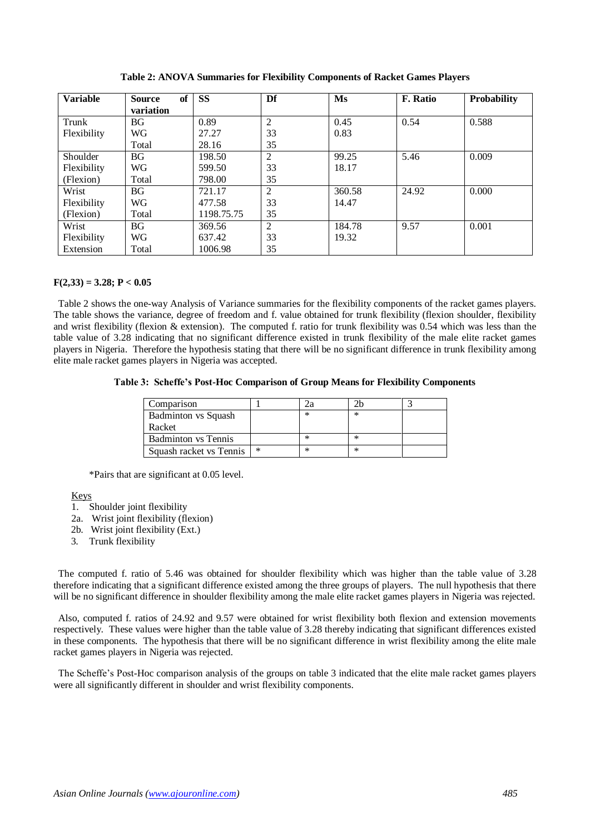| <b>Variable</b> | of<br><b>Source</b> | <b>SS</b>  | Df             | Ms     | <b>F.</b> Ratio | <b>Probability</b> |
|-----------------|---------------------|------------|----------------|--------|-----------------|--------------------|
|                 | variation           |            |                |        |                 |                    |
| Trunk           | <b>BG</b>           | 0.89       | $\overline{2}$ | 0.45   | 0.54            | 0.588              |
| Flexibility     | WG                  | 27.27      | 33             | 0.83   |                 |                    |
|                 | Total               | 28.16      | 35             |        |                 |                    |
| Shoulder        | <b>BG</b>           | 198.50     | $\overline{2}$ | 99.25  | 5.46            | 0.009              |
| Flexibility     | WG                  | 599.50     | 33             | 18.17  |                 |                    |
| (Flexion)       | Total               | 798.00     | 35             |        |                 |                    |
| Wrist           | <b>BG</b>           | 721.17     | 2              | 360.58 | 24.92           | 0.000              |
| Flexibility     | <b>WG</b>           | 477.58     | 33             | 14.47  |                 |                    |
| (Flexion)       | Total               | 1198.75.75 | 35             |        |                 |                    |
| Wrist           | <b>BG</b>           | 369.56     | 2              | 184.78 | 9.57            | 0.001              |
| Flexibility     | WG                  | 637.42     | 33             | 19.32  |                 |                    |
| Extension       | Total               | 1006.98    | 35             |        |                 |                    |

**Table 2: ANOVA Summaries for Flexibility Components of Racket Games Players**

## $F(2,33) = 3.28; P < 0.05$

 Table 2 shows the one-way Analysis of Variance summaries for the flexibility components of the racket games players. The table shows the variance, degree of freedom and f. value obtained for trunk flexibility (flexion shoulder, flexibility and wrist flexibility (flexion & extension). The computed f. ratio for trunk flexibility was 0.54 which was less than the table value of 3.28 indicating that no significant difference existed in trunk flexibility of the male elite racket games players in Nigeria. Therefore the hypothesis stating that there will be no significant difference in trunk flexibility among elite male racket games players in Nigeria was accepted.

### **Table 3: Scheffe's Post-Hoc Comparison of Group Means for Flexibility Components**

| Comparison                 |        |   |        |  |
|----------------------------|--------|---|--------|--|
| <b>Badminton vs Squash</b> |        | ∗ | ∗      |  |
| Racket                     |        |   |        |  |
| <b>Badminton</b> vs Tennis |        | ∗ |        |  |
| Squash racket vs Tennis    | $\ast$ | ∗ | $\ast$ |  |

\*Pairs that are significant at 0.05 level.

## Keys

- 1. Shoulder joint flexibility
- 2a. Wrist joint flexibility (flexion)
- 2b. Wrist joint flexibility (Ext.)
- 3. Trunk flexibility

 The computed f. ratio of 5.46 was obtained for shoulder flexibility which was higher than the table value of 3.28 therefore indicating that a significant difference existed among the three groups of players. The null hypothesis that there will be no significant difference in shoulder flexibility among the male elite racket games players in Nigeria was rejected.

 Also, computed f. ratios of 24.92 and 9.57 were obtained for wrist flexibility both flexion and extension movements respectively. These values were higher than the table value of 3.28 thereby indicating that significant differences existed in these components. The hypothesis that there will be no significant difference in wrist flexibility among the elite male racket games players in Nigeria was rejected.

 The Scheffe's Post-Hoc comparison analysis of the groups on table 3 indicated that the elite male racket games players were all significantly different in shoulder and wrist flexibility components.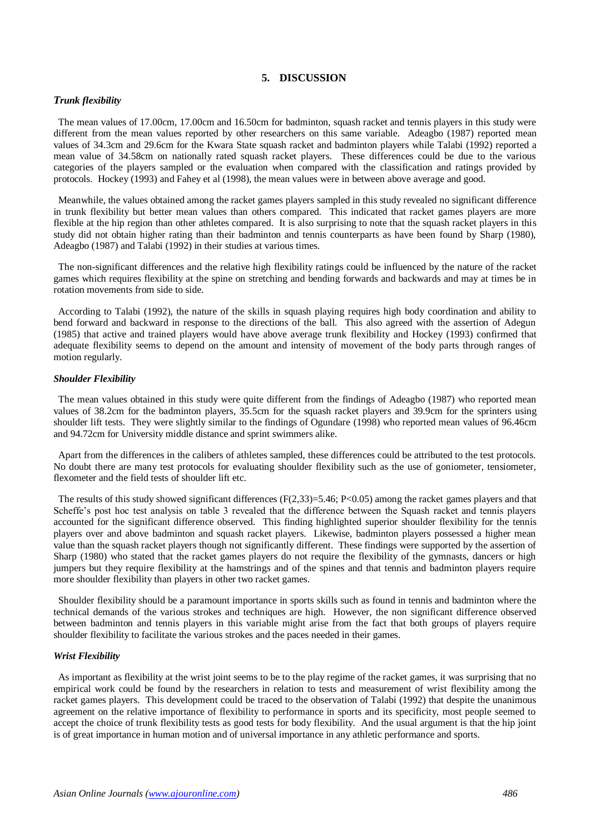## **5. DISCUSSION**

## *Trunk flexibility*

 The mean values of 17.00cm, 17.00cm and 16.50cm for badminton, squash racket and tennis players in this study were different from the mean values reported by other researchers on this same variable. Adeagbo (1987) reported mean values of 34.3cm and 29.6cm for the Kwara State squash racket and badminton players while Talabi (1992) reported a mean value of 34.58cm on nationally rated squash racket players. These differences could be due to the various categories of the players sampled or the evaluation when compared with the classification and ratings provided by protocols. Hockey (1993) and Fahey et al (1998), the mean values were in between above average and good.

 Meanwhile, the values obtained among the racket games players sampled in this study revealed no significant difference in trunk flexibility but better mean values than others compared. This indicated that racket games players are more flexible at the hip region than other athletes compared. It is also surprising to note that the squash racket players in this study did not obtain higher rating than their badminton and tennis counterparts as have been found by Sharp (1980), Adeagbo (1987) and Talabi (1992) in their studies at various times.

 The non-significant differences and the relative high flexibility ratings could be influenced by the nature of the racket games which requires flexibility at the spine on stretching and bending forwards and backwards and may at times be in rotation movements from side to side.

 According to Talabi (1992), the nature of the skills in squash playing requires high body coordination and ability to bend forward and backward in response to the directions of the ball. This also agreed with the assertion of Adegun (1985) that active and trained players would have above average trunk flexibility and Hockey (1993) confirmed that adequate flexibility seems to depend on the amount and intensity of movement of the body parts through ranges of motion regularly.

### *Shoulder Flexibility*

 The mean values obtained in this study were quite different from the findings of Adeagbo (1987) who reported mean values of 38.2cm for the badminton players, 35.5cm for the squash racket players and 39.9cm for the sprinters using shoulder lift tests. They were slightly similar to the findings of Ogundare (1998) who reported mean values of 96.46cm and 94.72cm for University middle distance and sprint swimmers alike.

 Apart from the differences in the calibers of athletes sampled, these differences could be attributed to the test protocols. No doubt there are many test protocols for evaluating shoulder flexibility such as the use of goniometer, tensiometer, flexometer and the field tests of shoulder lift etc.

The results of this study showed significant differences  $(F(2,33)=5.46; P<0.05)$  among the racket games players and that Scheffe's post hoc test analysis on table 3 revealed that the difference between the Squash racket and tennis players accounted for the significant difference observed. This finding highlighted superior shoulder flexibility for the tennis players over and above badminton and squash racket players. Likewise, badminton players possessed a higher mean value than the squash racket players though not significantly different. These findings were supported by the assertion of Sharp (1980) who stated that the racket games players do not require the flexibility of the gymnasts, dancers or high jumpers but they require flexibility at the hamstrings and of the spines and that tennis and badminton players require more shoulder flexibility than players in other two racket games.

 Shoulder flexibility should be a paramount importance in sports skills such as found in tennis and badminton where the technical demands of the various strokes and techniques are high. However, the non significant difference observed between badminton and tennis players in this variable might arise from the fact that both groups of players require shoulder flexibility to facilitate the various strokes and the paces needed in their games.

#### *Wrist Flexibility*

 As important as flexibility at the wrist joint seems to be to the play regime of the racket games, it was surprising that no empirical work could be found by the researchers in relation to tests and measurement of wrist flexibility among the racket games players. This development could be traced to the observation of Talabi (1992) that despite the unanimous agreement on the relative importance of flexibility to performance in sports and its specificity, most people seemed to accept the choice of trunk flexibility tests as good tests for body flexibility. And the usual argument is that the hip joint is of great importance in human motion and of universal importance in any athletic performance and sports.